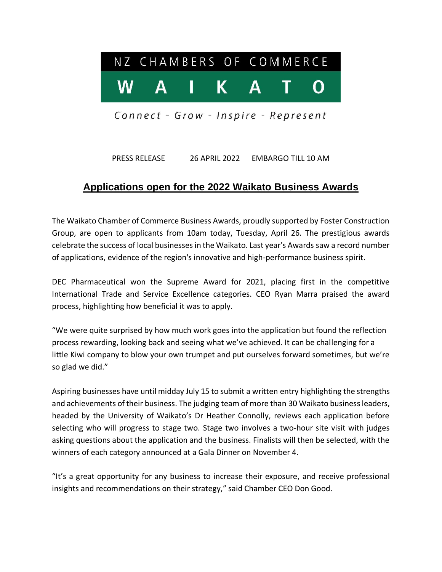

Connect - Grow - Inspire - Represent

PRESS RELEASE 26 APRIL 2022 EMBARGO TILL 10 AM

## **Applications open for the 2022 Waikato Business Awards**

The Waikato Chamber of Commerce Business Awards, proudly supported by Foster Construction Group, are open to applicants from 10am today, Tuesday, April 26. The prestigious awards celebrate the success of local businesses in the Waikato. Last year's Awards saw a record number of applications, evidence of the region's innovative and high-performance business spirit.

DEC Pharmaceutical won the Supreme Award for 2021, placing first in the competitive International Trade and Service Excellence categories. CEO Ryan Marra praised the award process, highlighting how beneficial it was to apply.

"We were quite surprised by how much work goes into the application but found the reflection process rewarding, looking back and seeing what we've achieved. It can be challenging for a little Kiwi company to blow your own trumpet and put ourselves forward sometimes, but we're so glad we did."

Aspiring businesses have until midday July 15 to submit a written entry highlighting the strengths and achievements of their business. The judging team of more than 30 Waikato business leaders, headed by the University of Waikato's Dr Heather Connolly, reviews each application before selecting who will progress to stage two. Stage two involves a two-hour site visit with judges asking questions about the application and the business. Finalists will then be selected, with the winners of each category announced at a Gala Dinner on November 4.

"It's a great opportunity for any business to increase their exposure, and receive professional insights and recommendations on their strategy," said Chamber CEO Don Good.